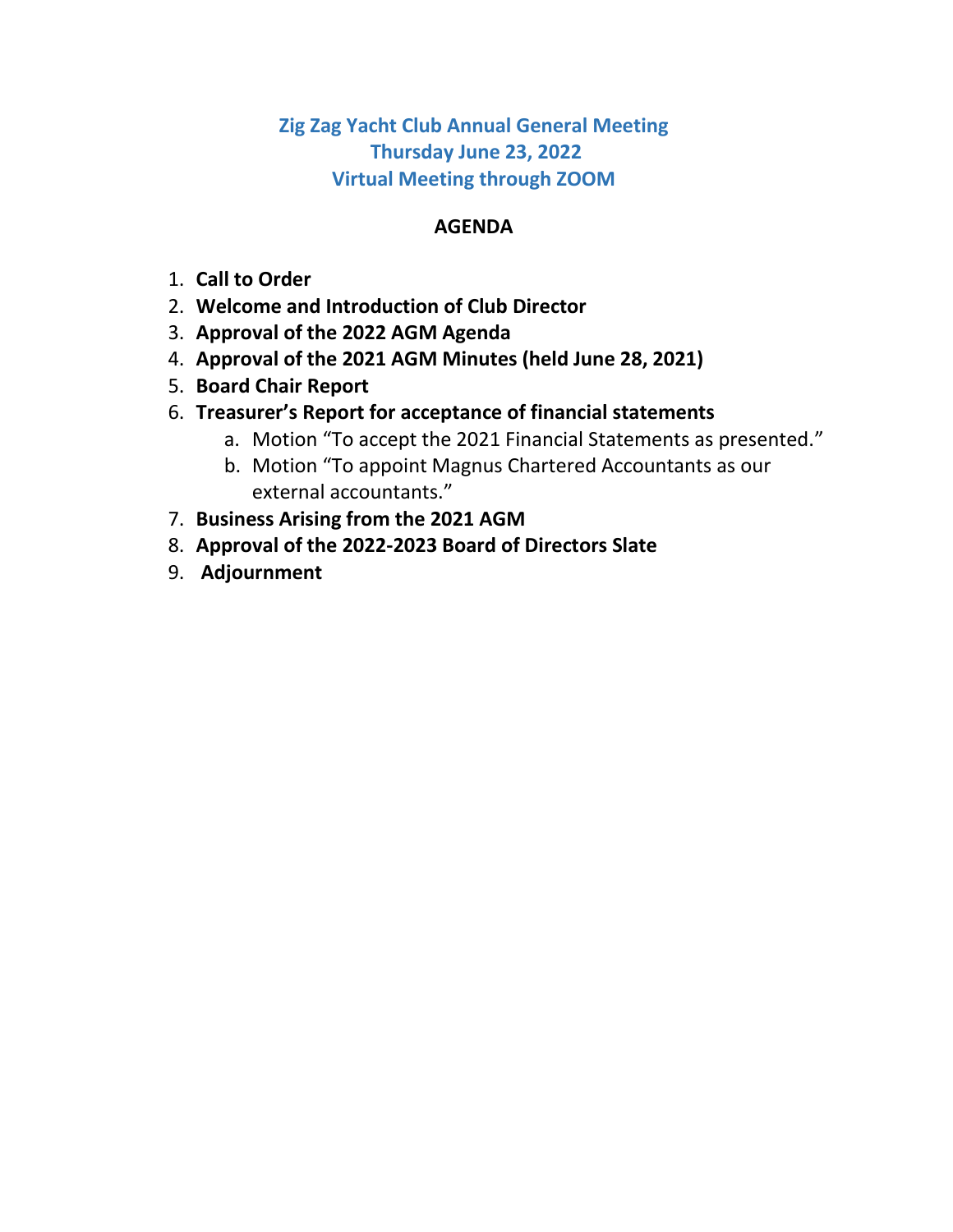**Zig Zag Yacht Club Annual General Meeting Thursday June 23, 2022 Virtual Meeting through ZOOM**

## **AGENDA**

- 1. **Call to Order**
- 2. **Welcome and Introduction of Club Director**
- 3. **Approval of the 2022 AGM Agenda**
- 4. **Approval of the 2021 AGM Minutes (held June 28, 2021)**
- 5. **Board Chair Report**
- 6. **Treasurer's Report for acceptance of financial statements**
	- a. Motion "To accept the 2021 Financial Statements as presented."
	- b. Motion "To appoint Magnus Chartered Accountants as our external accountants."
- 7. **Business Arising from the 2021 AGM**
- 8. **Approval of the 2022-2023 Board of Directors Slate**
- 9. **Adjournment**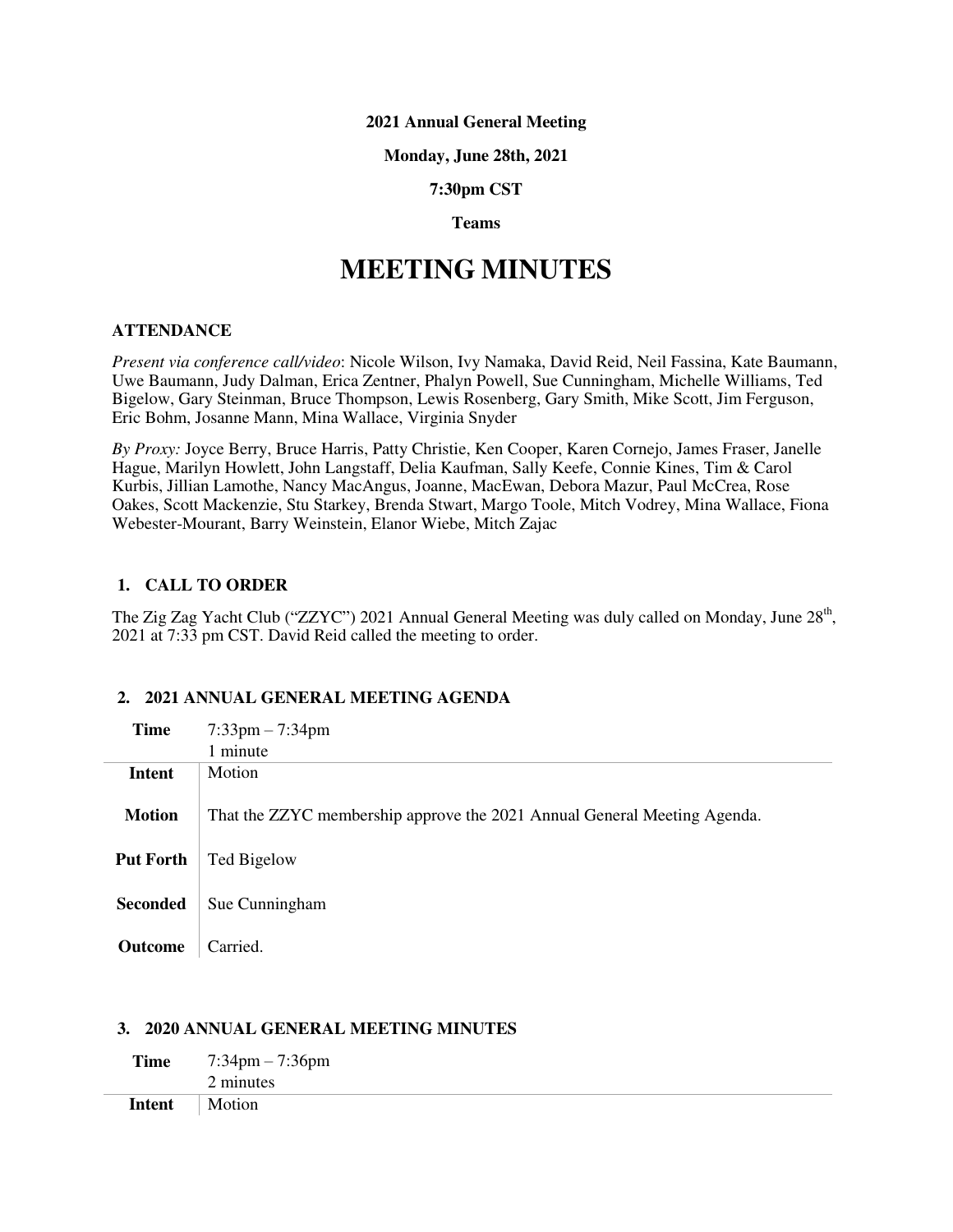#### **2021 Annual General Meeting**

#### **Monday, June 28th, 2021**

**7:30pm CST**

## **Teams**

# **MEETING MINUTES**

#### **ATTENDANCE**

*Present via conference call/video*: Nicole Wilson, Ivy Namaka, David Reid, Neil Fassina, Kate Baumann, Uwe Baumann, Judy Dalman, Erica Zentner, Phalyn Powell, Sue Cunningham, Michelle Williams, Ted Bigelow, Gary Steinman, Bruce Thompson, Lewis Rosenberg, Gary Smith, Mike Scott, Jim Ferguson, Eric Bohm, Josanne Mann, Mina Wallace, Virginia Snyder

*By Proxy:* Joyce Berry, Bruce Harris, Patty Christie, Ken Cooper, Karen Cornejo, James Fraser, Janelle Hague, Marilyn Howlett, John Langstaff, Delia Kaufman, Sally Keefe, Connie Kines, Tim & Carol Kurbis, Jillian Lamothe, Nancy MacAngus, Joanne, MacEwan, Debora Mazur, Paul McCrea, Rose Oakes, Scott Mackenzie, Stu Starkey, Brenda Stwart, Margo Toole, Mitch Vodrey, Mina Wallace, Fiona Webester-Mourant, Barry Weinstein, Elanor Wiebe, Mitch Zajac

#### **1. CALL TO ORDER**

The Zig Zag Yacht Club ("ZZYC") 2021 Annual General Meeting was duly called on Monday, June 28<sup>th</sup>, 2021 at 7:33 pm CST. David Reid called the meeting to order.

## **2. 2021 ANNUAL GENERAL MEETING AGENDA**

| <b>Time</b>      | $7:33$ pm $-7:34$ pm                                                     |
|------------------|--------------------------------------------------------------------------|
|                  | 1 minute                                                                 |
| Intent           | Motion                                                                   |
| <b>Motion</b>    | That the ZZYC membership approve the 2021 Annual General Meeting Agenda. |
| <b>Put Forth</b> | Ted Bigelow                                                              |
|                  |                                                                          |
| <b>Seconded</b>  | Sue Cunningham                                                           |
|                  |                                                                          |
| Outcome          | Carried.                                                                 |

#### **3. 2020 ANNUAL GENERAL MEETING MINUTES**

| <b>Time</b>   | $7:34 \text{pm} - 7:36 \text{pm}$ |
|---------------|-----------------------------------|
|               | 2 minutes                         |
| <b>Intent</b> | Motion                            |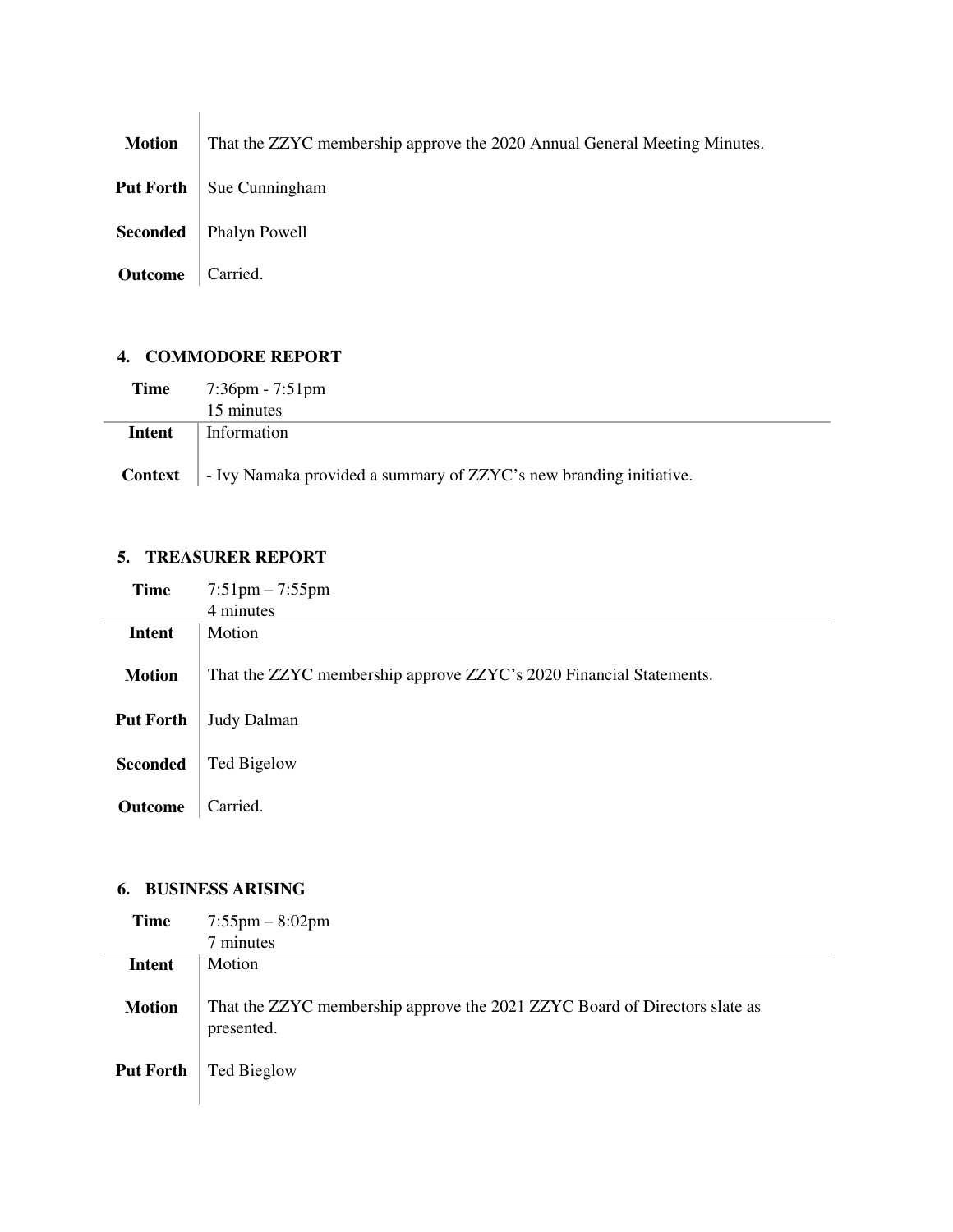**Motion** That the ZZYC membership approve the 2020 Annual General Meeting Minutes.

**Put Forth** Sue Cunningham

**Seconded** | Phalyn Powell

**Outcome** Carried.

## **4. COMMODORE REPORT**

| Time   | $7:36$ pm - $7:51$ pm                                                             |  |
|--------|-----------------------------------------------------------------------------------|--|
|        | 15 minutes                                                                        |  |
| Intent | Information                                                                       |  |
|        | <b>Context</b> – Ivy Namaka provided a summary of ZZYC's new branding initiative. |  |

## **5. TREASURER REPORT**

| <b>Time</b>      | $7:51 \text{pm} - 7:55 \text{pm}$                                  |
|------------------|--------------------------------------------------------------------|
|                  | 4 minutes                                                          |
| <b>Intent</b>    | Motion                                                             |
| <b>Motion</b>    | That the ZZYC membership approve ZZYC's 2020 Financial Statements. |
| <b>Put Forth</b> | <b>Judy Dalman</b>                                                 |
|                  |                                                                    |
| <b>Seconded</b>  | Ted Bigelow                                                        |
|                  |                                                                    |
| <b>Outcome</b>   | Carried.                                                           |

## **6. BUSINESS ARISING**

| Time             | $7:55 \text{pm} - 8:02 \text{pm}$                                                        |
|------------------|------------------------------------------------------------------------------------------|
|                  | 7 minutes                                                                                |
| Intent           | <b>Motion</b>                                                                            |
| <b>Motion</b>    | That the ZZYC membership approve the 2021 ZZYC Board of Directors slate as<br>presented. |
| <b>Put Forth</b> | Ted Bieglow                                                                              |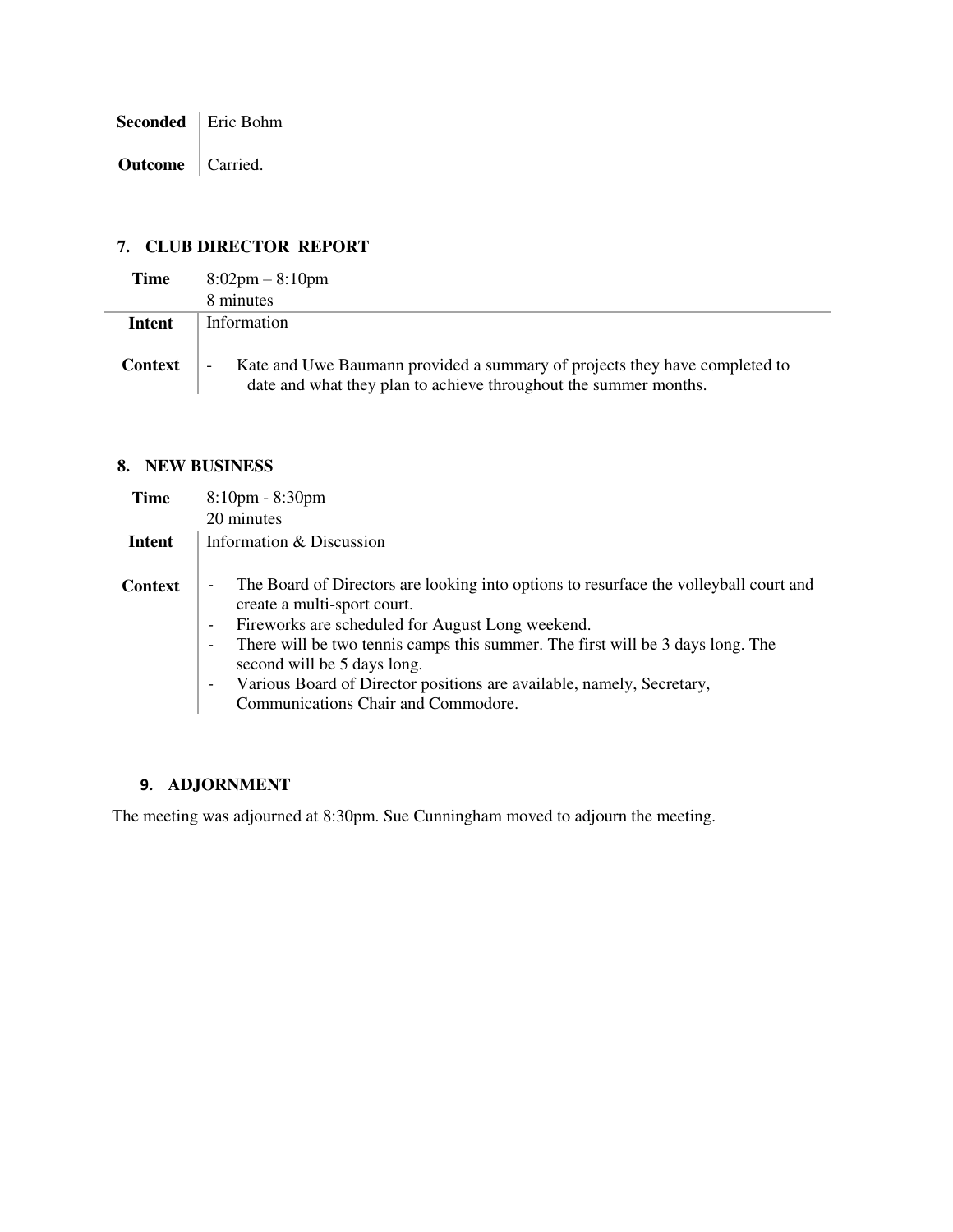**Seconded** | Eric Bohm

**Outcome** | Carried.

## **7. CLUB DIRECTOR REPORT**

| Time           | $8:02 \text{pm} - 8:10 \text{pm}$                                                                                                                   |
|----------------|-----------------------------------------------------------------------------------------------------------------------------------------------------|
|                | 8 minutes                                                                                                                                           |
| Intent         | Information                                                                                                                                         |
| <b>Context</b> | Kate and Uwe Baumann provided a summary of projects they have completed to<br>-<br>date and what they plan to achieve throughout the summer months. |

## **8. NEW BUSINESS**

| <b>Time</b>    | $8:10$ pm - $8:30$ pm                                                                                                                                                                                                                                                                                                                                                                                                                                                                                                     |
|----------------|---------------------------------------------------------------------------------------------------------------------------------------------------------------------------------------------------------------------------------------------------------------------------------------------------------------------------------------------------------------------------------------------------------------------------------------------------------------------------------------------------------------------------|
|                | 20 minutes                                                                                                                                                                                                                                                                                                                                                                                                                                                                                                                |
| Intent         | Information & Discussion                                                                                                                                                                                                                                                                                                                                                                                                                                                                                                  |
| <b>Context</b> | The Board of Directors are looking into options to resurface the volleyball court and<br>$\overline{\phantom{a}}$<br>create a multi-sport court.<br>Fireworks are scheduled for August Long weekend.<br>$\overline{\phantom{a}}$<br>There will be two tennis camps this summer. The first will be 3 days long. The<br>$\overline{\phantom{a}}$<br>second will be 5 days long.<br>Various Board of Director positions are available, namely, Secretary,<br>$\overline{\phantom{a}}$<br>Communications Chair and Commodore. |

## **9. ADJORNMENT**

The meeting was adjourned at 8:30pm. Sue Cunningham moved to adjourn the meeting.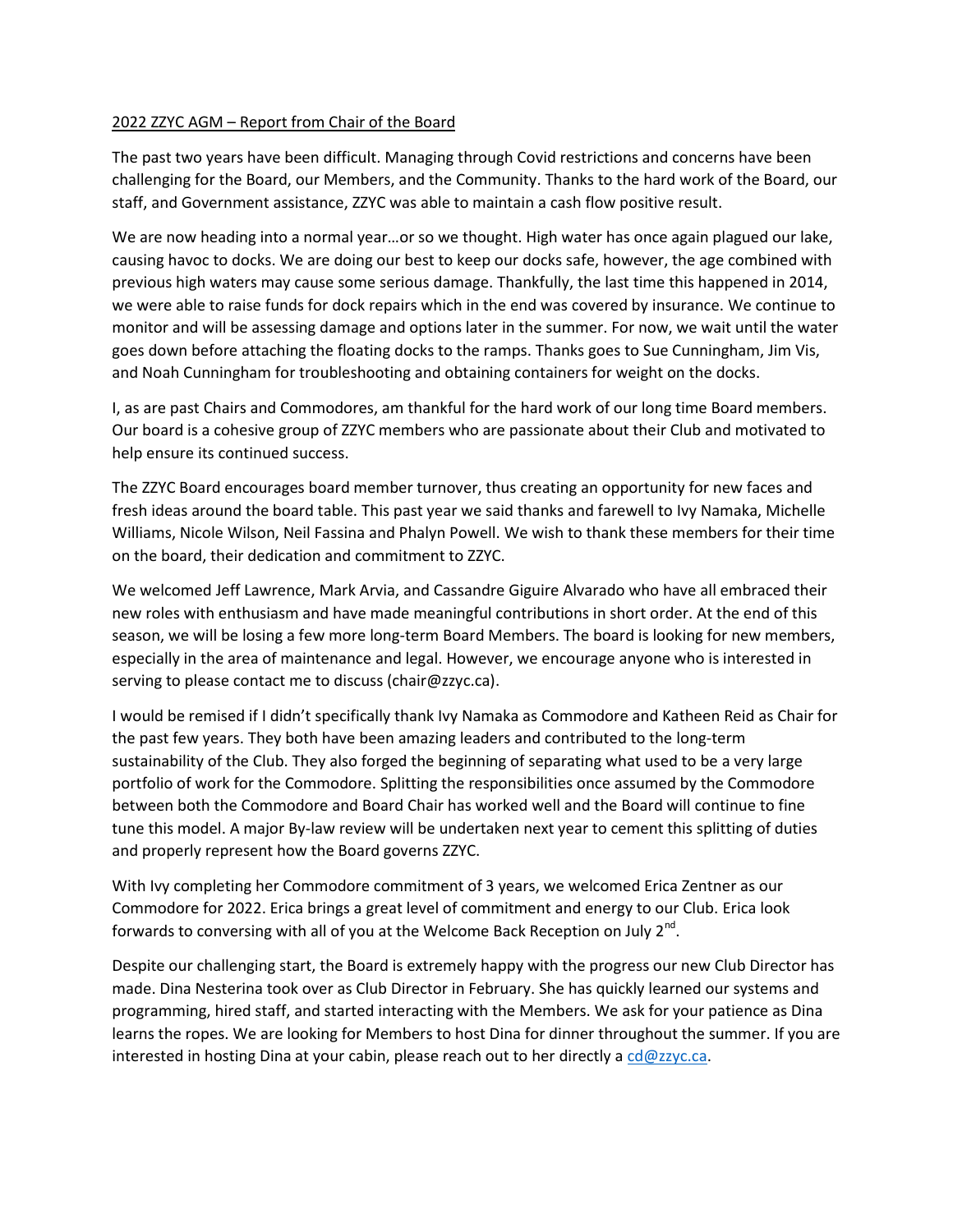### 2022 ZZYC AGM – Report from Chair of the Board

The past two years have been difficult. Managing through Covid restrictions and concerns have been challenging for the Board, our Members, and the Community. Thanks to the hard work of the Board, our staff, and Government assistance, ZZYC was able to maintain a cash flow positive result.

We are now heading into a normal year...or so we thought. High water has once again plagued our lake, causing havoc to docks. We are doing our best to keep our docks safe, however, the age combined with previous high waters may cause some serious damage. Thankfully, the last time this happened in 2014, we were able to raise funds for dock repairs which in the end was covered by insurance. We continue to monitor and will be assessing damage and options later in the summer. For now, we wait until the water goes down before attaching the floating docks to the ramps. Thanks goes to Sue Cunningham, Jim Vis, and Noah Cunningham for troubleshooting and obtaining containers for weight on the docks.

I, as are past Chairs and Commodores, am thankful for the hard work of our long time Board members. Our board is a cohesive group of ZZYC members who are passionate about their Club and motivated to help ensure its continued success.

The ZZYC Board encourages board member turnover, thus creating an opportunity for new faces and fresh ideas around the board table. This past year we said thanks and farewell to Ivy Namaka, Michelle Williams, Nicole Wilson, Neil Fassina and Phalyn Powell. We wish to thank these members for their time on the board, their dedication and commitment to ZZYC.

We welcomed Jeff Lawrence, Mark Arvia, and Cassandre Giguire Alvarado who have all embraced their new roles with enthusiasm and have made meaningful contributions in short order. At the end of this season, we will be losing a few more long-term Board Members. The board is looking for new members, especially in the area of maintenance and legal. However, we encourage anyone who is interested in serving to please contact me to discuss (chair@zzyc.ca).

I would be remised if I didn't specifically thank Ivy Namaka as Commodore and Katheen Reid as Chair for the past few years. They both have been amazing leaders and contributed to the long-term sustainability of the Club. They also forged the beginning of separating what used to be a very large portfolio of work for the Commodore. Splitting the responsibilities once assumed by the Commodore between both the Commodore and Board Chair has worked well and the Board will continue to fine tune this model. A major By-law review will be undertaken next year to cement this splitting of duties and properly represent how the Board governs ZZYC.

With Ivy completing her Commodore commitment of 3 years, we welcomed Erica Zentner as our Commodore for 2022. Erica brings a great level of commitment and energy to our Club. Erica look forwards to conversing with all of you at the Welcome Back Reception on July 2<sup>nd</sup>.

Despite our challenging start, the Board is extremely happy with the progress our new Club Director has made. Dina Nesterina took over as Club Director in February. She has quickly learned our systems and programming, hired staff, and started interacting with the Members. We ask for your patience as Dina learns the ropes. We are looking for Members to host Dina for dinner throughout the summer. If you are interested in hosting Dina at your cabin, please reach out to her directly a  $\frac{\text{cd@zzyc.ca.}}{\text{cd@zzyc.ca.}}$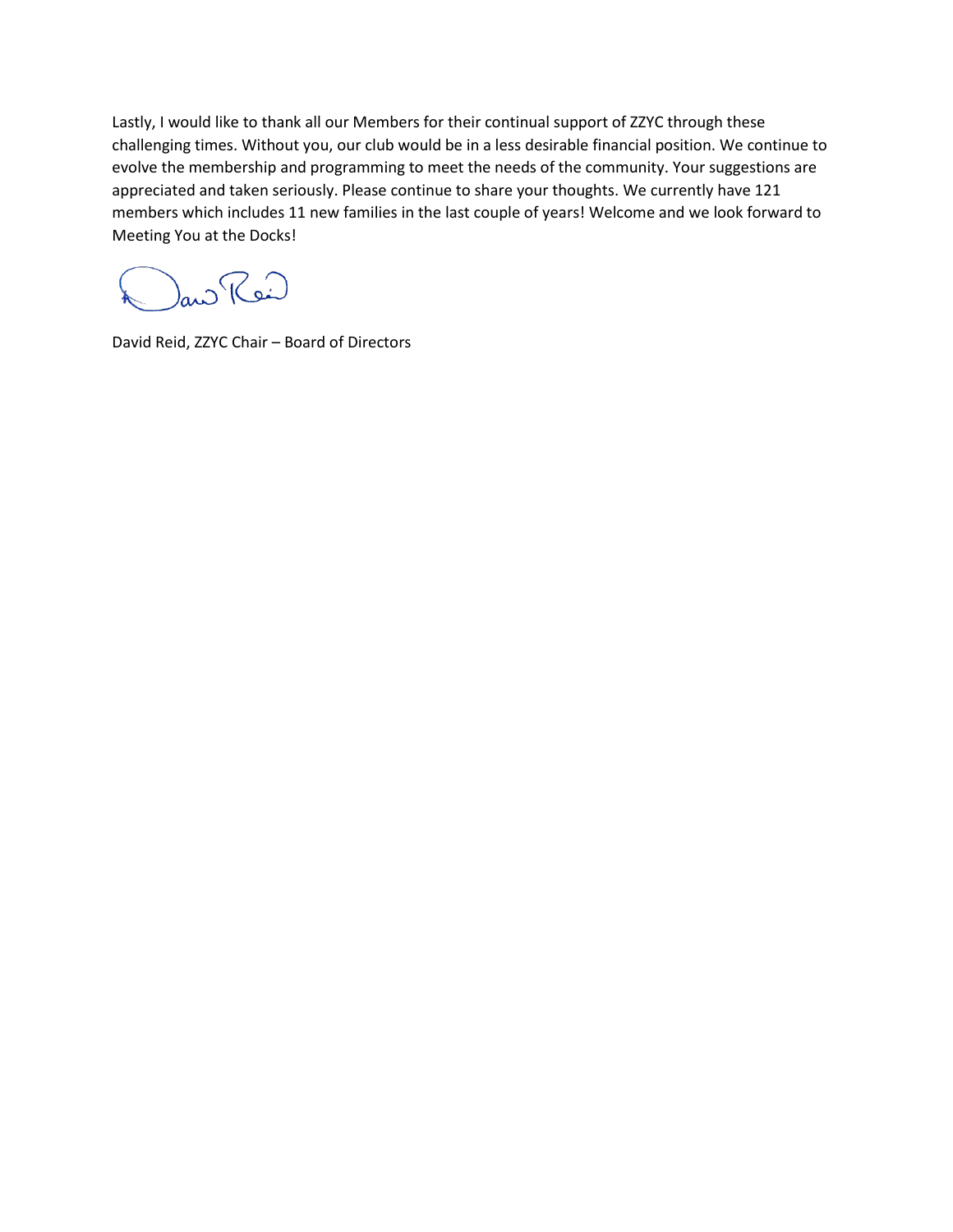Lastly, I would like to thank all our Members for their continual support of ZZYC through these challenging times. Without you, our club would be in a less desirable financial position. We continue to evolve the membership and programming to meet the needs of the community. Your suggestions are appreciated and taken seriously. Please continue to share your thoughts. We currently have 121 members which includes 11 new families in the last couple of years! Welcome and we look forward to Meeting You at the Docks!

au Rei

David Reid, ZZYC Chair – Board of Directors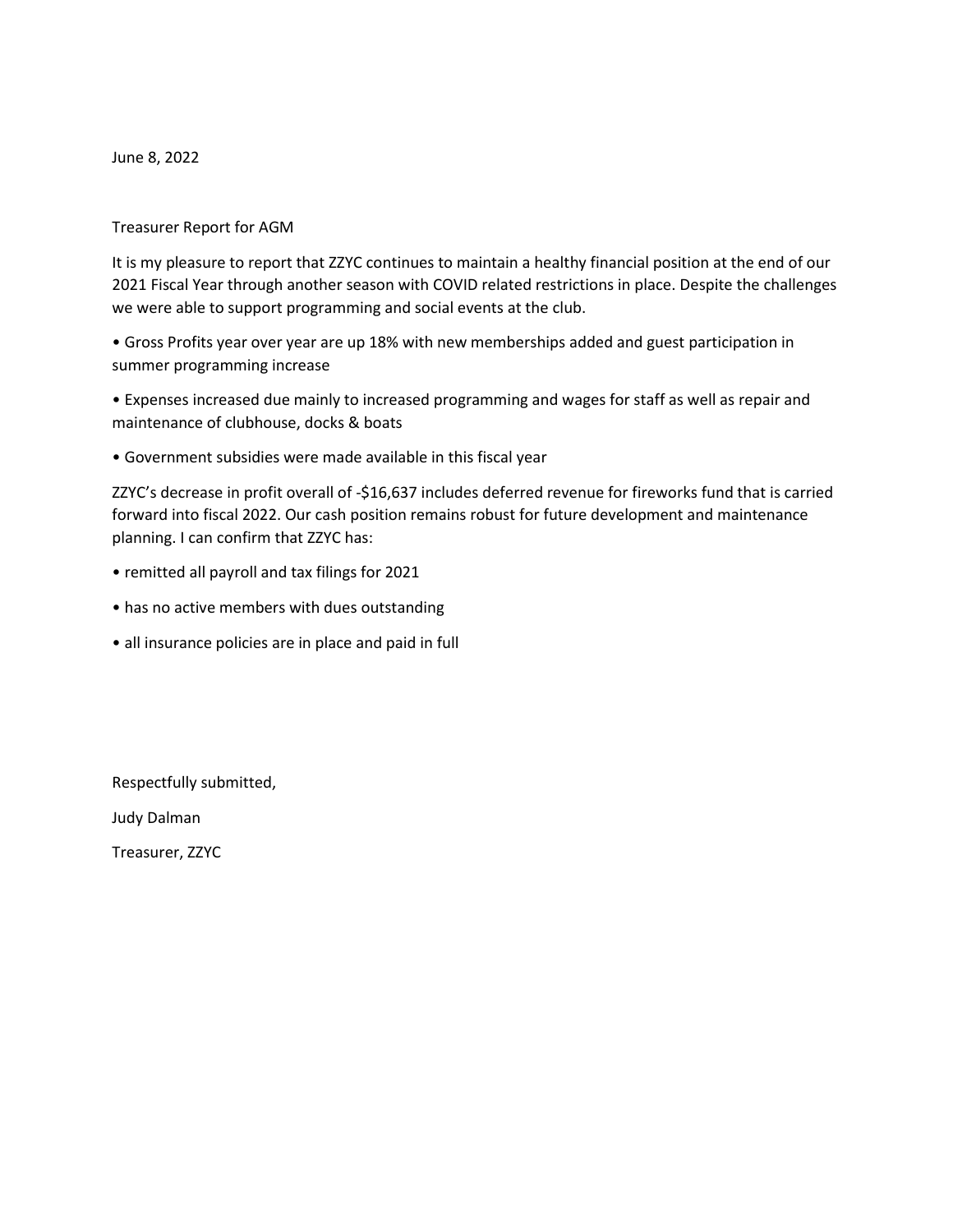June 8, 2022

### Treasurer Report for AGM

It is my pleasure to report that ZZYC continues to maintain a healthy financial position at the end of our 2021 Fiscal Year through another season with COVID related restrictions in place. Despite the challenges we were able to support programming and social events at the club.

• Gross Profits year over year are up 18% with new memberships added and guest participation in summer programming increase

• Expenses increased due mainly to increased programming and wages for staff as well as repair and maintenance of clubhouse, docks & boats

• Government subsidies were made available in this fiscal year

ZZYC's decrease in profit overall of -\$16,637 includes deferred revenue for fireworks fund that is carried forward into fiscal 2022. Our cash position remains robust for future development and maintenance planning. I can confirm that ZZYC has:

- remitted all payroll and tax filings for 2021
- has no active members with dues outstanding
- all insurance policies are in place and paid in full

Respectfully submitted,

Judy Dalman

Treasurer, ZZYC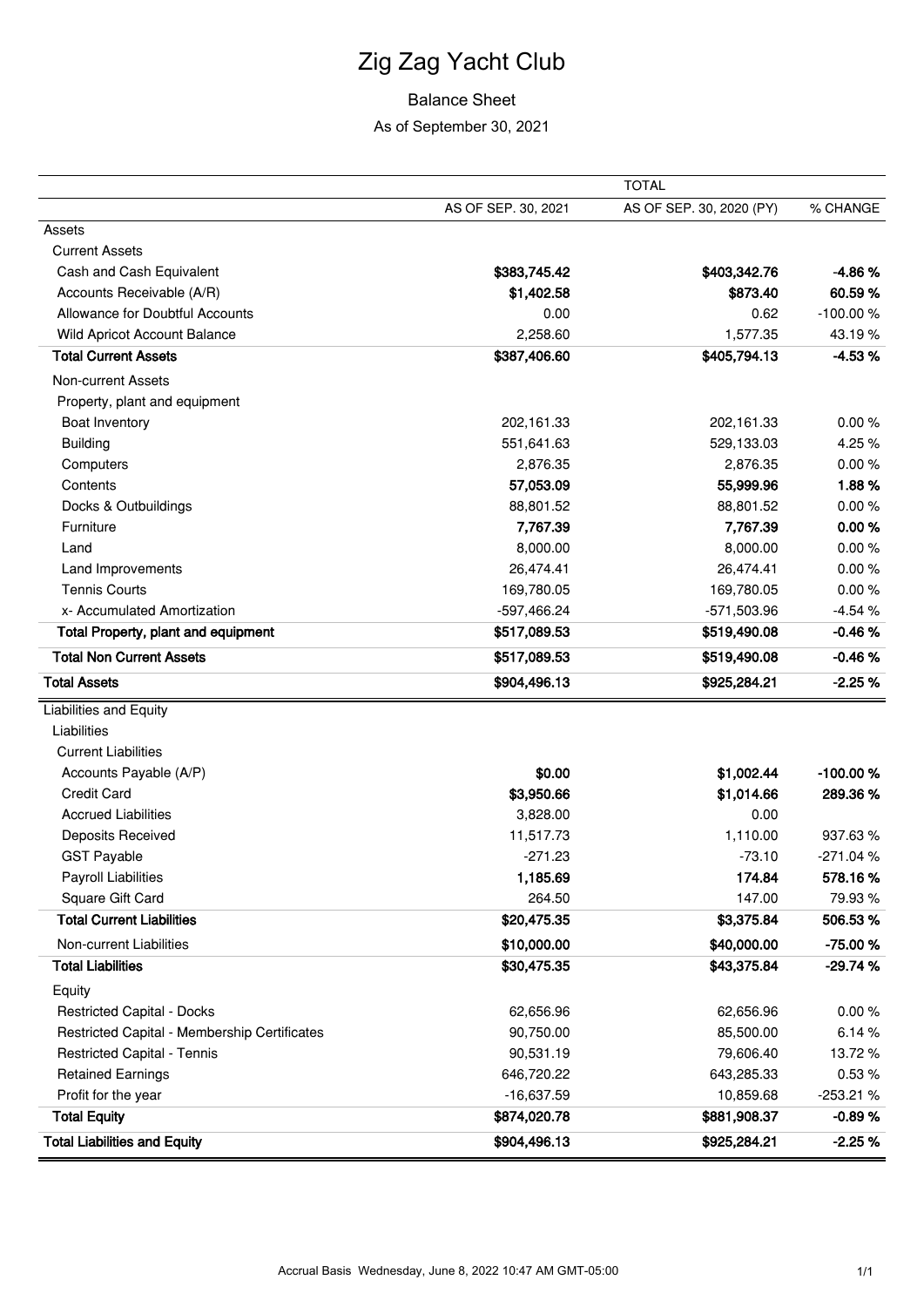# Zig Zag Yacht Club

## Balance Sheet

As of September 30, 2021

|                                              |                     | <b>TOTAL</b>             |            |
|----------------------------------------------|---------------------|--------------------------|------------|
|                                              | AS OF SEP. 30, 2021 | AS OF SEP. 30, 2020 (PY) | % CHANGE   |
| Assets                                       |                     |                          |            |
| <b>Current Assets</b>                        |                     |                          |            |
| Cash and Cash Equivalent                     | \$383,745.42        | \$403,342.76             | $-4.86%$   |
| Accounts Receivable (A/R)                    | \$1,402.58          | \$873.40                 | 60.59%     |
| Allowance for Doubtful Accounts              | 0.00                | 0.62                     | $-100.00%$ |
| Wild Apricot Account Balance                 | 2,258.60            | 1,577.35                 | 43.19%     |
| <b>Total Current Assets</b>                  | \$387,406.60        | \$405,794.13             | $-4.53%$   |
| <b>Non-current Assets</b>                    |                     |                          |            |
| Property, plant and equipment                |                     |                          |            |
| Boat Inventory                               | 202,161.33          | 202,161.33               | 0.00%      |
| <b>Building</b>                              | 551,641.63          | 529,133.03               | 4.25%      |
| Computers                                    | 2,876.35            | 2,876.35                 | 0.00%      |
| Contents                                     | 57,053.09           | 55,999.96                | 1.88%      |
| Docks & Outbuildings                         | 88,801.52           | 88,801.52                | 0.00%      |
| Furniture                                    | 7,767.39            | 7,767.39                 | 0.00%      |
| Land                                         | 8,000.00            | 8,000.00                 | 0.00%      |
| Land Improvements                            | 26,474.41           | 26,474.41                | 0.00%      |
| <b>Tennis Courts</b>                         | 169,780.05          | 169,780.05               | 0.00%      |
| x- Accumulated Amortization                  | -597,466.24         | -571,503.96              | $-4.54%$   |
| <b>Total Property, plant and equipment</b>   | \$517,089.53        | \$519,490.08             | $-0.46%$   |
| <b>Total Non Current Assets</b>              | \$517,089.53        | \$519,490.08             | $-0.46%$   |
| <b>Total Assets</b>                          | \$904,496.13        | \$925,284.21             | $-2.25%$   |
| <b>Liabilities and Equity</b>                |                     |                          |            |
| Liabilities                                  |                     |                          |            |
| <b>Current Liabilities</b>                   |                     |                          |            |
| Accounts Payable (A/P)                       | \$0.00              | \$1,002.44               | $-100.00%$ |
| <b>Credit Card</b>                           | \$3,950.66          | \$1,014.66               | 289.36%    |
| <b>Accrued Liabilities</b>                   | 3,828.00            | 0.00                     |            |
| Deposits Received                            | 11,517.73           | 1,110.00                 | 937.63%    |
| <b>GST Payable</b>                           | $-271.23$           | $-73.10$                 | -271.04%   |
| Payroll Liabilities                          | 1,185.69            | 174.84                   | 578.16%    |
| Square Gift Card                             | 264.50              | 147.00                   | 79.93%     |
| <b>Total Current Liabilities</b>             | \$20,475.35         | \$3,375.84               | 506.53 %   |
| Non-current Liabilities                      | \$10,000.00         | \$40,000.00              | -75.00 %   |
| <b>Total Liabilities</b>                     | \$30,475.35         | \$43,375.84              | $-29.74%$  |
| Equity                                       |                     |                          |            |
| <b>Restricted Capital - Docks</b>            | 62,656.96           | 62,656.96                | 0.00%      |
| Restricted Capital - Membership Certificates | 90,750.00           | 85,500.00                | 6.14%      |
| <b>Restricted Capital - Tennis</b>           | 90,531.19           | 79,606.40                | 13.72 %    |
| <b>Retained Earnings</b>                     | 646,720.22          | 643,285.33               | 0.53%      |
| Profit for the year                          | $-16,637.59$        | 10,859.68                | $-253.21%$ |
| <b>Total Equity</b>                          | \$874,020.78        | \$881,908.37             | $-0.89%$   |
| <b>Total Liabilities and Equity</b>          | \$904,496.13        | \$925,284.21             | $-2.25%$   |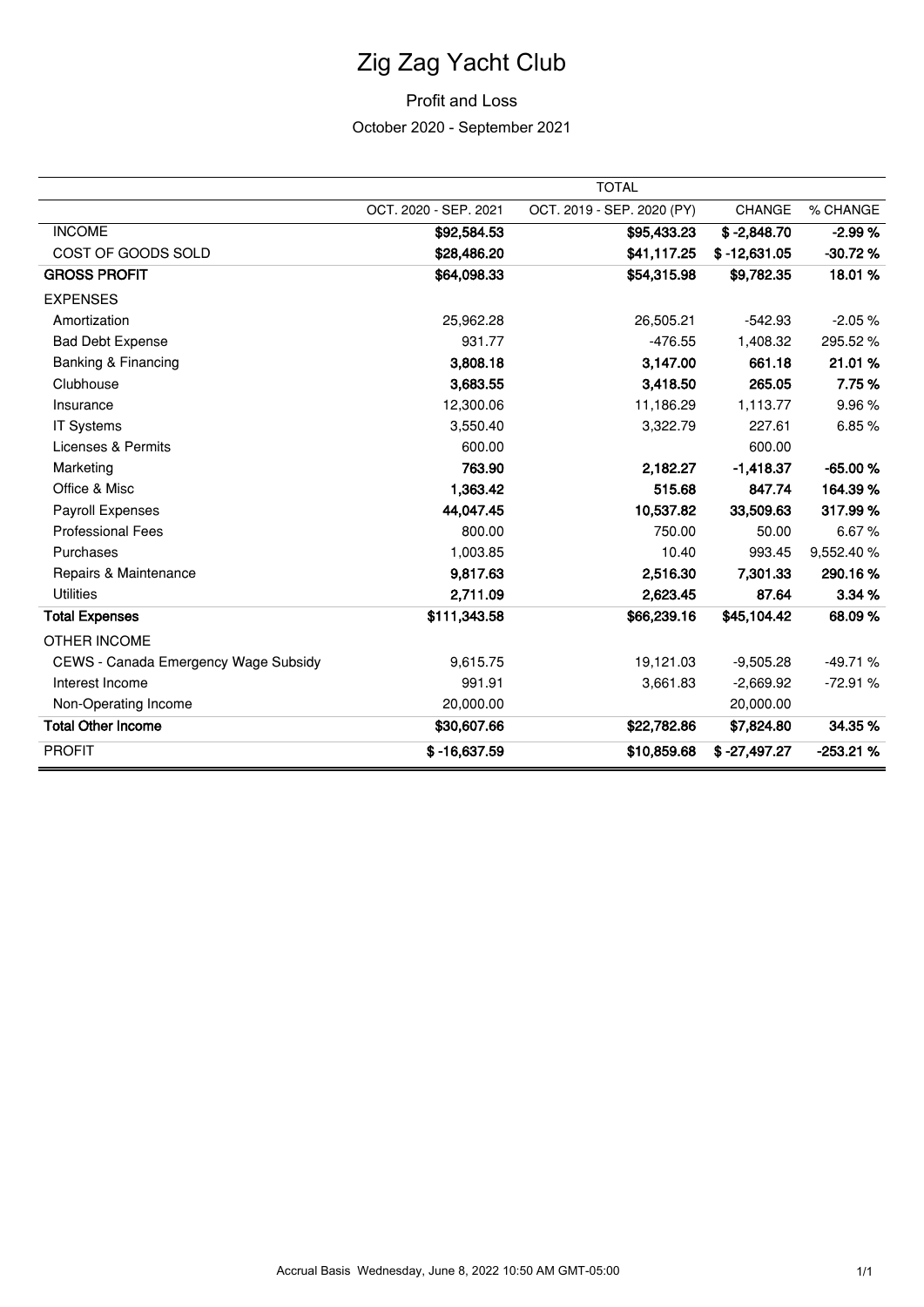# Zig Zag Yacht Club

## Profit and Loss

October 2020 - September 2021

|                                      |                       | <b>TOTAL</b>               |                |            |
|--------------------------------------|-----------------------|----------------------------|----------------|------------|
|                                      | OCT. 2020 - SEP. 2021 | OCT. 2019 - SEP. 2020 (PY) | CHANGE         | % CHANGE   |
| <b>INCOME</b>                        | \$92,584.53           | \$95,433.23                | $$ -2,848.70$  | $-2.99%$   |
| COST OF GOODS SOLD                   | \$28,486.20           | \$41,117.25                | $$ -12,631.05$ | $-30.72%$  |
| <b>GROSS PROFIT</b>                  | \$64,098.33           | \$54,315.98                | \$9,782.35     | 18.01%     |
| <b>EXPENSES</b>                      |                       |                            |                |            |
| Amortization                         | 25,962.28             | 26,505.21                  | $-542.93$      | $-2.05%$   |
| <b>Bad Debt Expense</b>              | 931.77                | $-476.55$                  | 1,408.32       | 295.52 %   |
| Banking & Financing                  | 3,808.18              | 3,147.00                   | 661.18         | 21.01%     |
| Clubhouse                            | 3,683.55              | 3,418.50                   | 265.05         | 7.75%      |
| Insurance                            | 12,300.06             | 11,186.29                  | 1,113.77       | 9.96%      |
| <b>IT Systems</b>                    | 3,550.40              | 3,322.79                   | 227.61         | 6.85%      |
| <b>Licenses &amp; Permits</b>        | 600.00                |                            | 600.00         |            |
| Marketing                            | 763.90                | 2,182.27                   | $-1,418.37$    | $-65.00%$  |
| Office & Misc                        | 1,363.42              | 515.68                     | 847.74         | 164.39%    |
| Payroll Expenses                     | 44,047.45             | 10,537.82                  | 33,509.63      | 317.99%    |
| <b>Professional Fees</b>             | 800.00                | 750.00                     | 50.00          | 6.67%      |
| Purchases                            | 1,003.85              | 10.40                      | 993.45         | 9,552.40 % |
| Repairs & Maintenance                | 9,817.63              | 2,516.30                   | 7,301.33       | 290.16%    |
| <b>Utilities</b>                     | 2,711.09              | 2,623.45                   | 87.64          | 3.34 %     |
| <b>Total Expenses</b>                | \$111,343.58          | \$66,239.16                | \$45,104.42    | 68.09%     |
| OTHER INCOME                         |                       |                            |                |            |
| CEWS - Canada Emergency Wage Subsidy | 9,615.75              | 19,121.03                  | $-9,505.28$    | $-49.71%$  |
| Interest Income                      | 991.91                | 3,661.83                   | $-2,669.92$    | $-72.91%$  |
| Non-Operating Income                 | 20,000.00             |                            | 20,000.00      |            |
| <b>Total Other Income</b>            | \$30,607.66           | \$22,782.86                | \$7,824.80     | 34.35%     |
| <b>PROFIT</b>                        | $$ -16,637.59$        | \$10,859.68                | $$ -27,497.27$ | $-253.21%$ |